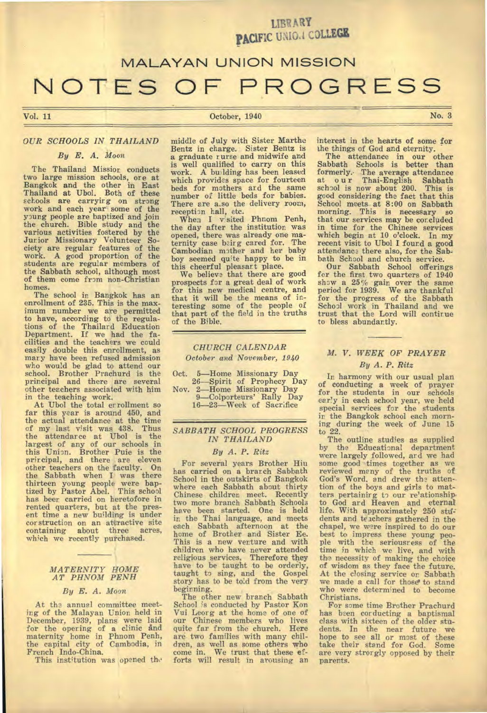**LIBR ARY PACIFIC UNI0.4 COLLEGE** 

# **MALAYAN UNION MISSION NOTES OF PROGRESS**

# Vol. 11 October, 1940 No. 3

#### *OUR SCHOOLS IN THAILAND*

## *By E. A. Moon,*

The Thailand Mission conducts two large mission schools, ore at Bangkok and the other in East Thailand at Ubol. Both of these schools are carryirg on strong work and each year some of the young people are baptized and join the church. Bible study and the various activities fostered by the Junior Missionary Volunteer So-ciety are regular features of the work. A good proportion of the students are regular members of the Sabbath school, although most of them come from non-Christian homes.

The school in Bangkok has an enrollment of 235. This is the maximum number we are permitted to have, according to the regulations of the Thailard Education Department. If we had the facilities and the teachers we could easily double this enrollment, as mary have been refused admission who would be glad to attend our school. Brother Prachurd is the principal and there are several other teachers associated with him in the teaching work.

At Ubol the total errollment so far this year is around 450, and the actual attendance at the time of my last visit was 438. Thus the attendarce at Ubol is the largest of any of our schools in this Union. Brother Puie is the principal, and there are eleven other teachers on the faculty. On the Sabbath when I was there thirteen young people were baptized by Pastor Abel. This school has beer carried on heretofore in rented quarters, but at the present time a new building is under corstruction on an attractive site containing about three acres, which we recently purchased.

## *MATERNITY HOME AT PHNOM PENH*

#### *By E. A. Moon*

At the annual committee meeting of the Malayan Union held in December, 1939, plans were laid for the opering of a clinic and maternity home in Phnom Penh, the capital city of Cambodia, in French Indo-China.

This institution was opened the

middle of July with Sister Marthe Bentz in charge. Sister Bentz is a graduate r urse and midwife and is well qualified to carry on this work. A building has been leased which provides space for fourteen beds for mothers ard the same number of little beds for babies. There are a.so the delivery room, reception hall, etc.

When I v'sited Phnom Penh, the day after the institution was opened, there was already one maternity case beirg cared for. The Cambodian mother and her baby boy seemed quite happy to be in this cheerful pleasart place.

We believe that there are good prospects for a great deal of work for this new medical centre, and that it will be the means of interesting some of the people of that part of the field in the truths of the Bible.

# *CHURCH CALENDAR October and November, 1940*

Oct. 5—Home Missionary Day 26—Spirit of Prophecy Day Nov. 2—Home Missionary Day

9—Colporteurs' Rally Day

16-23—Week of Sacrifice

#### *SABBATH SCHOOL PROGRESS IN THAILAND*

#### *By A. P.* Ritz

For several years Brother Hiu has carried on a brarch Sabbath School in the outskirts of Bangkok where each Sabbath about thirty Chinese children meet. Recently two more branch Sabbath Schools have been started. One is held in the Thai language, and meets each Sabbath afternoon at the home of Brother and Sister Ee. This is a new venture and with children who have never attended religious services. Therefore they have to be taught to be orderly, taught to sing, and the Gospel story has to be told from the very beginning.

The other new branch Sabbath School is conducted by Pastor Kon Vui Leorg at the home of one of our Chinese members who lives quite far from the church. Here are two families with many children, as well as some others who come in. We trust that these ef-forts will result in arousing an

#### interest in the hearts of some for the things of God and eternity.

The attendance in our other Sabbath Schools is better than formerly. The average attendance<br>at our Thai-English Sabbath school is now about 200. This is good considering the fact that this School meets at 8:00 on Sabbath morning. This is necessary so that our services may be corcluded in time for the Chinese services which begin at 10 o'clock. In my recent visit to Ubol I found a good attendance there also, for the Sabbath School and church service.

Our Sabbath School offerings for the first two quarters of 1940 show a 25% gain over the same period for 1939. We are thankful for the progress of the Sabbath School work in Thailand and we trust that the Lord will contirue to bless abundantly.

# *M. V. WEEK OF PRAYER*

# *By A. P. Ritz*

In harmony with our usual plan of conducting a week of prayer for the students in our schools early in each school year, we held<br>special services for the students in the Bangkok school each morning during the week of June 15

to 22. The outline studies as supplied by the Educational department were largely followed, ard we had some good times together as we reviewed many of the truths of God's Word, and drew the attention of the boys and girls to matters pertainirg to our re'ationship• to God ard Heaven and eternal life. With approximately 250 students and teachers gathered in the chapel, we were inspired to do our best to impress these young people with the seriousress of the time in which we live, and with the necessity of making the choice of wisdom as they face the future. At the closing service or. Sabbath we made a call for those to stand who were determined to become Christians.

For some time Brother Prachurd has been corducting a baptismal class with sixteen of the older students. In the near future we hope to see all or most of these take their stand for God. Some are very strorgly opposed by their parents.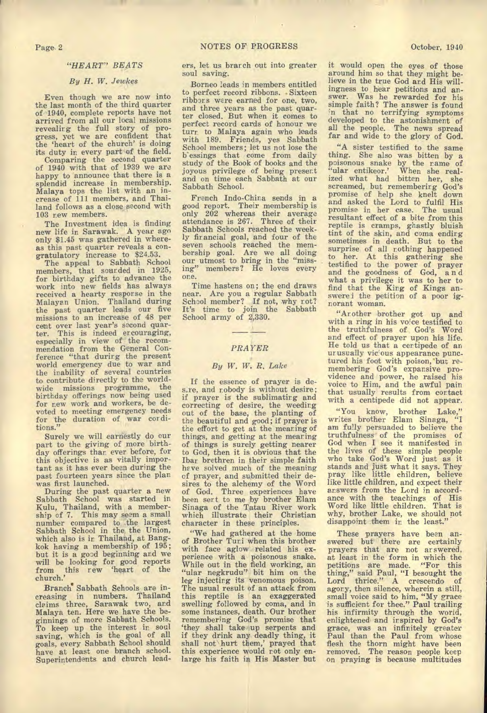# *"HEART" BEATS*

# *By H. W. Jewkes*

Even though we are now into the last month of the third quarter of 1940, complete reports have not arrived from all our local missions revealing the full story of progress, yet we are confident that the 'heart of the church' is doing its duty in every part of the field.

Comparing the second quarter of 1940 with that of 1939 we are happy to announce that there is a splendid increase in membership. Malaya tops the list with an increase of 111 members, and Thailand follows as a close second with 103 new members.

The Investment idea is finding new life in Sarawak. A year ago only \$1.45 was gathered in whereas this past quarter reveals a congratulatory increase to \$24.53.

The appeal to Sabbath School members, that sourded in 1925, for birthday gifts to advance the work into new fields has always received a hearty response in the Malayan Union. Thailand during the past quarter leads our five missions to an increase of 48 per cent over last year's second quarter. This is indeed encouraging, especially in view of the recommendation from the General Conference "that durirg the present world emergency due to war and the inability of several countries to contribute directly to the worldwide missions programme, the birthday offerings now being used for new work and workers, be devoted to meeting emergency needs for the duration of war corditions."

Surely we will earnestly do our part to the *giving* of more birthday offerings than ever before, for this objective is as vitally important as it has ever been during the past fourteen years since the plan was first launched.

During the past quarter a new Sabbath School was started in Kulu, Thailand, with a membership of 7. This may seem a small number compared to the largest Sabbath School in the the Union, which also is in Thailand, at Bangkok having a membership of 195; but it is a good beginning and we will be looking for good reports from this new 'heart of the church.'

Branch' Sabbath Schools are increasing in numbers. Thailand claims three, Sarawak two, and Malaya ten. Here we have the beginnings of more Sabbath Schools. To keep up the interest in soul saving, which is the goal of all goals, every Sabbath School should have at least one branch school. Superintendents and church leaders, let us branch out into greater soul *saving.* 

Borneo leads in members entitled to perfect record ribbons. . Sixteen ribbons were earned for one, two, and three years as the past quarter closed. But when it comes to perfect record cards of honour we turn to Malaya again who leads with 189. Friends, yes Sabbath School members; let us not lose the b'essings that come from daily study of the Book of books and the joyous privilege of being present and on time each Sabbath at our Sabbath School.

French Indo-Chira sends in a good report. Their membership is only 202 whereas their average attendance is 267. Three of their Sabbath Schools reached the weekly firancial goal, and four of the seven schools reached the mem-bership goal. Are we all doing our utmost to bring in the "missing" members? He loves every one.

Time hastens on; the end draws near. Are you a regular Sabbath School member? If not, why rot?<br>It's time to join the Sabbath It's time to join the Sabbath School army of 2,330.

#### *PRAYER*

#### *By W. W. R. Lake*

If the essence of prayer is desire, and nobody is without desire; if prayer is the sublimating and correcting of desire, the weeding out of the base, the planting of the beautiful and good; if prayer is the effort to get at the meaning of things, and getting at the meaning of things is surely getting nearer to God, then it is obvious that the Ibar brethren in their simple faith have solved much of the meaning of prayer, and submitted their desires to the alchemy of the Word of God. Three experiences have been sent to me by brother Elam Sinaga of the Tatau River work which illustrate their Christian character in these principles.

"We had gathered at the home of Brother Turi when this brother with face aglow related his experience with a poisonous snake. While out in the field working, an "ular negkrudu" bit him on the leg injecting its venomous poison. The usual result of an attack from this reptile is an exaggerated swelling followed by coma, and in some instances, death. Our brother remembering God's promise that `they shall take up serpents and if they drink any deadly thing, it shall not\ hurt them,' prayed that this experience would rot only en-large his faith in His Master but

it would open the eyes of those around him so that they might believe in the true God and His willingness to hear petitions and answer. Was he rewarded for his simple faith? The answer is found in that no terrifying symptoms developed to the astonishment of all the people. The news spread far and wide to the glory of God.

"A sister testified to the same thing. She also was bitten by a poisonous snake by the name of "ular entikeor.' When she realized what had bitten her, she screamed, but remembering God's promise of help she knelt down and asked the Lord to fulfil His promise in her case. The usual resultant effect of a bite from this reptile is cramps, ghastly bluish tint of the skin, and coma ending sometimes in death. But to the surprise of all nothing happened to her. At this gathering she testified to the power of prayer and the goodness of God, a n d what a privilege it was to her to find that the Kirg of Kings answere i the petition of a poor ignorant woman.

"Ar other brother got up and with a ring in his voice testified to the truthfulness of God's Word and effect of prayer upon his life. He told us that a centipede of an urusually vic'ous appearance punctured his foot with poison,'but remembering God's expansive providence and power, he raised his voice to Him, and the awful pain that usually results from contact with a centipede did not appear.

"You know, brother Lake," writes brother Elam Sinaga, "I am fully persuaded to believe the truthfulness' of the promises of God when I see it manifested in the lives of these simple people who take God's Word just as it stands and just what it says. They pray like little children, believe like little children, and expect their<br>answers from the Lord in accordance with the teachings of His Word like little children. That is why, brother Lake, we should not disappoint them in the least."

These prayers have been answered but there are certainly prayers that are not answered, at least in the form in which the petitions are made. "For this thing," said Paul, "I besought the Lord thrice." A crescendo of agony, then silence, wherein a still, small voice said to him, "My grace is sufficient for thee." Paul trailing his infirmity through the world, enlightened and inspired by God's grace, was an infinitely greater Paul than the Paul from whose flesh the thorn might have been removed. The reason people keep on praying is because multitudes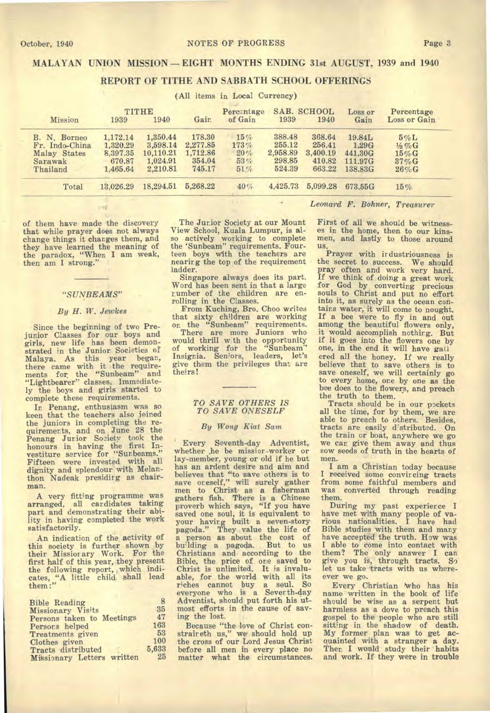# **REPORT OF TITHE AND SABBATH SCHOOL OFFERINGS**

| (All items in Local Currency)                                         |                                                        |                                                           |                                                    |                                       |                                                  |                                                  |                                                  |                                                                 |  |
|-----------------------------------------------------------------------|--------------------------------------------------------|-----------------------------------------------------------|----------------------------------------------------|---------------------------------------|--------------------------------------------------|--------------------------------------------------|--------------------------------------------------|-----------------------------------------------------------------|--|
| Mission                                                               | 1939                                                   | TITHE<br>1940                                             | Gain                                               | Percentage<br>of Gain                 | 1939                                             | SAB. SCHOOL<br>1940                              | Loss or<br>Gain                                  | Percentage<br>Loss or Gain                                      |  |
| B. N. Borneo<br>Fr. Indo-China<br>Malay States<br>Sarawak<br>Thailand | 1,172,14<br>1.320.29<br>8.397.35<br>670.87<br>1,465.64 | 1,350.44<br>3.598.14<br>10,110.21<br>1,024.91<br>2,210.81 | 178.30<br>2,277.85<br>1,712.86<br>354.04<br>745.17 | 15%<br>$173\,\%$<br>20%<br>53%<br>51% | 388.48<br>255.12<br>2,958.89<br>298.85<br>524.39 | 368.64<br>256.41<br>3,400.19<br>410.82<br>663.22 | 19.84L<br>1.29G<br>441,30G<br>111.97G<br>138,83G | $5\%L$<br>$\frac{1}{2}\% G$<br>$15\%$ G<br>$37\%$ G<br>$26\%$ G |  |
| Total                                                                 | 13.026.29                                              | 18.294.51                                                 | 5,268.22                                           | 40%                                   | 4.425.73                                         | 5,099.28                                         | 673.55G                                          | 15%                                                             |  |
|                                                                       | <b>CONTRACT</b>                                        |                                                           |                                                    |                                       |                                                  |                                                  |                                                  | Leonard F. Bohner, Treasurer                                    |  |

of them have made the discovery that while prayer does not always change things it changes them, and they have learned the meaning of the paradox, "When I am weak, then am I strong."

#### *"SUNBEAMS"*

#### *By H. W. Jetukes*

Since the beginning of two Prejunior Classes for our boys and girls, new life has been demonstrated in the Junior Societies of Malaya. As this year began, there came with it the requirements for the "Sunbeam" and "Lightbearer" classes. Immediate-ly the boys and girls started to complete these requirements.

In Penang, enthusiasm was so keen that the teachers also joined the juniors in completing the requirements, and on June 28 the Penang Jurior Society took the honours in having the first In-vestiture service for "Sunbeams." Fifteen were invested with all dignity and splendour with Melanthon Nadeak presidirg as chairman.

A very fitting programme was arranged, all car didates taking part and demonstrating their ability in having completed the work satisfactorily.

An indication of the activity of this society is further shown by their Missionary Work. For the first half of this year, they present the following report, which indicates, "A little child shall lead them:"

| <b>Bible Reading</b>       | 8     |
|----------------------------|-------|
| Missionary Visits          | 35    |
| Persons taken to Meetings  | 47    |
| Persons helped             | 163   |
| Treatments given           | 53    |
| Clothes given              | 100   |
| Tracts distributed         | 5.633 |
| Missionary Letters written | 25    |

The Junior Society at our Mount View School, Kuala Lumpur, is also actively working to complete the 'Sunbeam" requirements. Fourteen boys with the teachers are nearing the top of the requirement ladder.

Singapore always does its part. Word has been sent in that a large rumber of the children are enrolling in the Classes.

From Kuching, Bro. Choo writes that sixty children are working

on the "Sunbeam" requirements. There are more Juniors who would thrill with the opportunity of working for the "Sunbeam" Insignia. Seniors, leaders, let's *give them* the privileges that are theirs !

#### *TO SAVE OTHERS IS TO SAVE ONESELF*

#### *By Wong Kiat Sam*

Every Seventh-day Adventist, whether he be missior-worker or lay-member, young or old if he but has an ardent desire and aim and believes that "to save others is to save oneself," will surely gather men to Christ as a fisherman gathers fish. There is a Chinese proverb which says, "If you have saved one soul, it is equivalent to your having built a seven-story pagoda." They value the life of a person as about the cost of building a pagoda. But to us Christians and according to the Bible, the price of one saved to Christ is unlimited. It is invalu-able, for the world with all its riches cannot buy a soul. So everyone who is a Severth-day Adventist, should put forth his utmost efforts in the cause of saving the lost.

Because "the love of Christ constraireth us," we' should hold up the cross of our Lord Jesus Christ before all men in every place no matter what the circumstances.

First of all we should be witnesses in the home, then to our kinsmen, and lastly to those around

us. Prayer with irdustriousness is the secret to success. We should pray often and work very hard. If we think of doing a great work for God by converting precious souls to Christ and put no effort into it, as surely as the ocean contains water, it will come to nought. If a bee were to fly in and out among the beautiful flowers only, it would accomplish nothirg. But if it goes into the flowers one by one, in the end it will have gatl ered all the honey. If we really believe that to save others is to save oneself, we will certainly go to every home, one by one as the bee does to the flowers, and preach the truth to them.

Tracts should be in our pockets all the time, for by them, we are able to preach to others. Besides, tracts are easily d'stributed. On the train or boat, anywhere we go we can give them away and thus sow seeds of truth in the hearts of men.

I am a Christian today because I received some convincing tracts from some faithful members and was converted through reading them.

During my past experience I have met with many people of **va-rious** nationalities. I have had Bible studies with them and many have accepted the truth. How was I able to come into contact with them? The only answer I *can*  give you is, through tracts. So let us take tracts with us whereever we go.

Every Christian who has his name written in the book of life should be wise as a serpent but harmless as a dove to preach this gospel to the people who are still sitting in the shadow of death. My former plan was to get acquainted with a stranger a day. Then I would study their habits and work. If they were in trouble